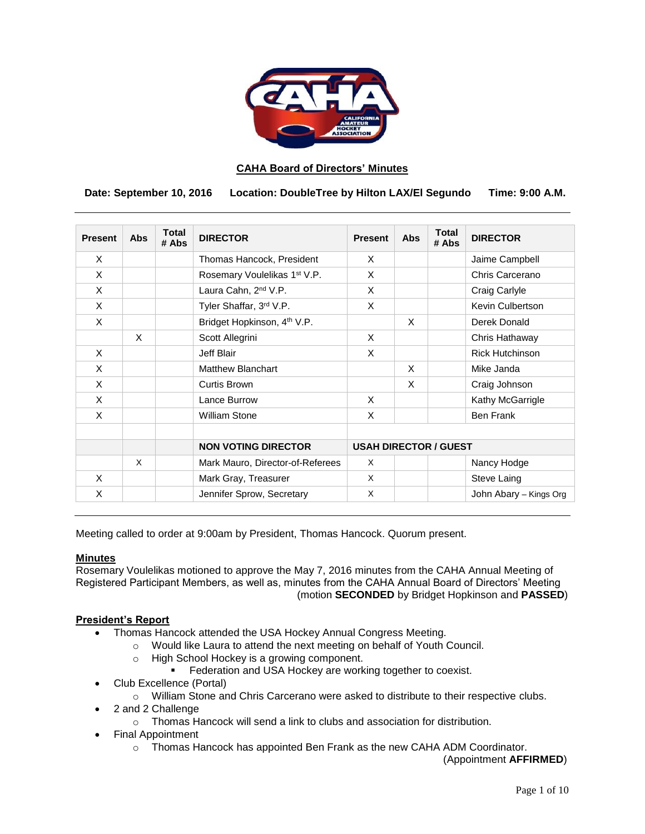

### **CAHA Board of Directors' Minutes**

 **Date: September 10, 2016 Location: DoubleTree by Hilton LAX/El Segundo Time: 9:00 A.M.**

| <b>Present</b> | <b>Abs</b> | Total<br># Abs | <b>DIRECTOR</b>                          | <b>Present</b>               | Abs | <b>Total</b><br># Abs | <b>DIRECTOR</b>        |
|----------------|------------|----------------|------------------------------------------|------------------------------|-----|-----------------------|------------------------|
| X              |            |                | Thomas Hancock, President                | X                            |     |                       | Jaime Campbell         |
| X              |            |                | Rosemary Voulelikas 1 <sup>st</sup> V.P. | X                            |     |                       | Chris Carcerano        |
| X              |            |                | Laura Cahn, 2 <sup>nd</sup> V.P.         | X                            |     |                       | Craig Carlyle          |
| X              |            |                | Tyler Shaffar, 3rd V.P.                  | X                            |     |                       | Kevin Culbertson       |
| X              |            |                | Bridget Hopkinson, 4 <sup>th</sup> V.P.  |                              | X   |                       | Derek Donald           |
|                | $\times$   |                | Scott Allegrini                          | X                            |     |                       | Chris Hathaway         |
| X              |            |                | Jeff Blair                               | X                            |     |                       | <b>Rick Hutchinson</b> |
| X              |            |                | <b>Matthew Blanchart</b>                 |                              | X   |                       | Mike Janda             |
| X              |            |                | Curtis Brown                             |                              | X   |                       | Craig Johnson          |
| X              |            |                | Lance Burrow                             | X                            |     |                       | Kathy McGarrigle       |
| X              |            |                | <b>William Stone</b>                     | X                            |     |                       | <b>Ben Frank</b>       |
|                |            |                |                                          |                              |     |                       |                        |
|                |            |                | <b>NON VOTING DIRECTOR</b>               | <b>USAH DIRECTOR / GUEST</b> |     |                       |                        |
|                | $\times$   |                | Mark Mauro, Director-of-Referees         | X                            |     |                       | Nancy Hodge            |
| X              |            |                | Mark Gray, Treasurer                     | X                            |     |                       | Steve Laing            |
| X              |            |                | Jennifer Sprow, Secretary                | X                            |     |                       | John Abary - Kings Org |

Meeting called to order at 9:00am by President, Thomas Hancock. Quorum present.

#### **Minutes**

Rosemary Voulelikas motioned to approve the May 7, 2016 minutes from the CAHA Annual Meeting of Registered Participant Members, as well as, minutes from the CAHA Annual Board of Directors' Meeting (motion **SECONDED** by Bridget Hopkinson and **PASSED**)

### **President's Report**

- Thomas Hancock attended the USA Hockey Annual Congress Meeting.
	- o Would like Laura to attend the next meeting on behalf of Youth Council.
		- o High School Hockey is a growing component.
			- Federation and USA Hockey are working together to coexist.
- Club Excellence (Portal)
	- o William Stone and Chris Carcerano were asked to distribute to their respective clubs.
	- 2 and 2 Challenge
		- o Thomas Hancock will send a link to clubs and association for distribution.
- Final Appointment
	- o Thomas Hancock has appointed Ben Frank as the new CAHA ADM Coordinator.

(Appointment **AFFIRMED**)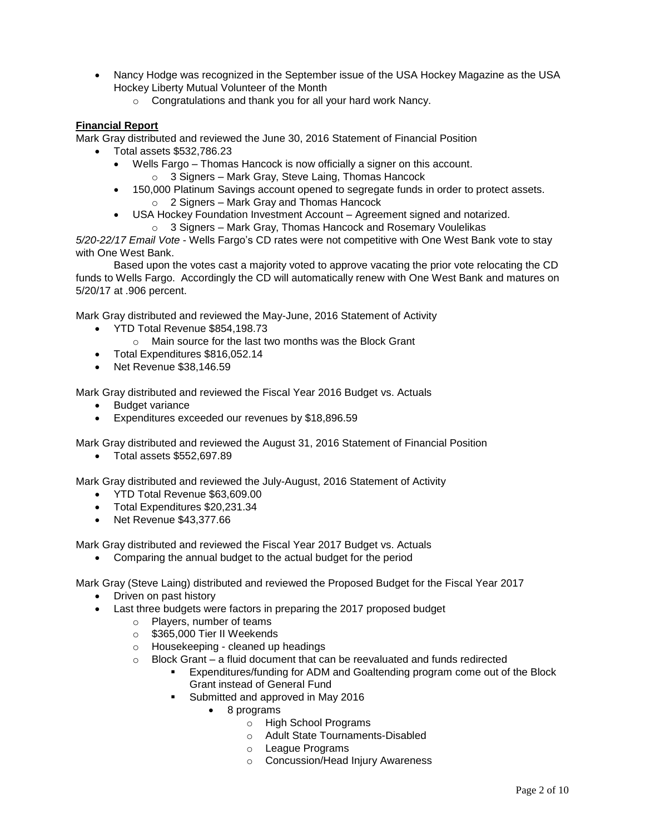- Nancy Hodge was recognized in the September issue of the USA Hockey Magazine as the USA Hockey Liberty Mutual Volunteer of the Month
	- o Congratulations and thank you for all your hard work Nancy.

### **Financial Report**

Mark Gray distributed and reviewed the June 30, 2016 Statement of Financial Position

- Total assets \$532,786.23
	- Wells Fargo Thomas Hancock is now officially a signer on this account.
		- o 3 Signers Mark Gray, Steve Laing, Thomas Hancock
	- 150,000 Platinum Savings account opened to segregate funds in order to protect assets. o 2 Signers – Mark Gray and Thomas Hancock
		- USA Hockey Foundation Investment Account Agreement signed and notarized.
			- o 3 Signers Mark Gray, Thomas Hancock and Rosemary Voulelikas

*5/20-22/17 Email Vote* - Wells Fargo's CD rates were not competitive with One West Bank vote to stay with One West Bank.

Based upon the votes cast a majority voted to approve vacating the prior vote relocating the CD funds to Wells Fargo. Accordingly the CD will automatically renew with One West Bank and matures on 5/20/17 at .906 percent.

Mark Gray distributed and reviewed the May-June, 2016 Statement of Activity

- YTD Total Revenue \$854,198.73
	- o Main source for the last two months was the Block Grant
- Total Expenditures \$816,052.14
- Net Revenue \$38,146.59

Mark Gray distributed and reviewed the Fiscal Year 2016 Budget vs. Actuals

- Budget variance
- Expenditures exceeded our revenues by \$18,896.59

Mark Gray distributed and reviewed the August 31, 2016 Statement of Financial Position

Total assets \$552,697.89

Mark Gray distributed and reviewed the July-August, 2016 Statement of Activity

- YTD Total Revenue \$63,609.00
- Total Expenditures \$20,231.34
- Net Revenue \$43,377,66

Mark Gray distributed and reviewed the Fiscal Year 2017 Budget vs. Actuals

Comparing the annual budget to the actual budget for the period

Mark Gray (Steve Laing) distributed and reviewed the Proposed Budget for the Fiscal Year 2017

- Driven on past history
- Last three budgets were factors in preparing the 2017 proposed budget
	- o Players, number of teams
		- o \$365,000 Tier II Weekends
	- o Housekeeping cleaned up headings
	- $\circ$  Block Grant a fluid document that can be reevaluated and funds redirected
		- Expenditures/funding for ADM and Goaltending program come out of the Block Grant instead of General Fund
		- Submitted and approved in May 2016
			- 8 programs
				- o High School Programs
				- o Adult State Tournaments-Disabled
				- o League Programs
				- o Concussion/Head Injury Awareness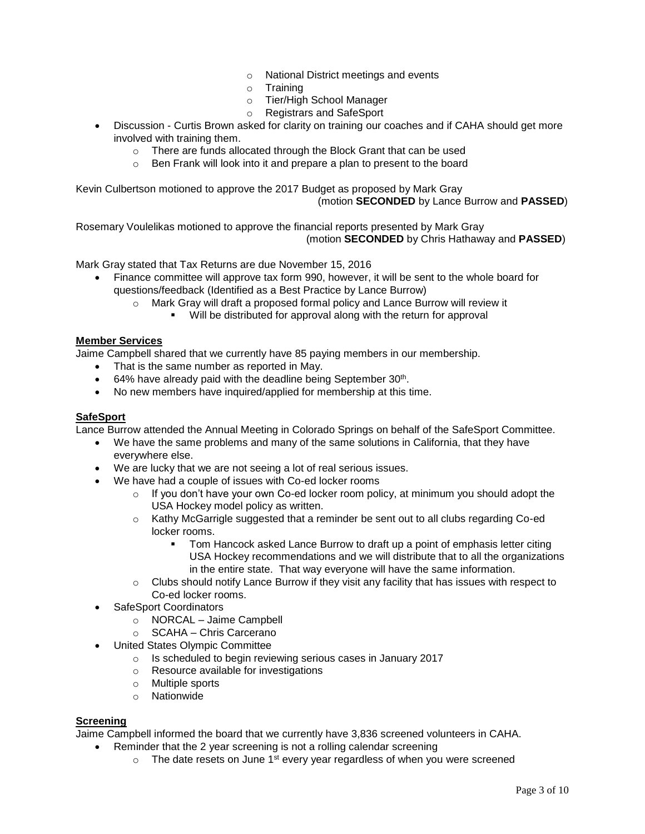- o National District meetings and events
- o Training
- o Tier/High School Manager
- o Registrars and SafeSport
- Discussion Curtis Brown asked for clarity on training our coaches and if CAHA should get more involved with training them.
	- o There are funds allocated through the Block Grant that can be used
	- o Ben Frank will look into it and prepare a plan to present to the board

Kevin Culbertson motioned to approve the 2017 Budget as proposed by Mark Gray (motion **SECONDED** by Lance Burrow and **PASSED**)

Rosemary Voulelikas motioned to approve the financial reports presented by Mark Gray (motion **SECONDED** by Chris Hathaway and **PASSED**)

Mark Gray stated that Tax Returns are due November 15, 2016

- Finance committee will approve tax form 990, however, it will be sent to the whole board for questions/feedback (Identified as a Best Practice by Lance Burrow)
	- o Mark Gray will draft a proposed formal policy and Lance Burrow will review it
		- Will be distributed for approval along with the return for approval

#### **Member Services**

Jaime Campbell shared that we currently have 85 paying members in our membership.

- That is the same number as reported in May.
- 64% have already paid with the deadline being September 30<sup>th</sup>.
- No new members have inquired/applied for membership at this time.

### **SafeSport**

Lance Burrow attended the Annual Meeting in Colorado Springs on behalf of the SafeSport Committee.

- We have the same problems and many of the same solutions in California, that they have everywhere else.
- We are lucky that we are not seeing a lot of real serious issues.
- We have had a couple of issues with Co-ed locker rooms
	- o If you don't have your own Co-ed locker room policy, at minimum you should adopt the USA Hockey model policy as written.
	- $\circ$  Kathy McGarrigle suggested that a reminder be sent out to all clubs regarding Co-ed locker rooms.
		- Tom Hancock asked Lance Burrow to draft up a point of emphasis letter citing USA Hockey recommendations and we will distribute that to all the organizations in the entire state. That way everyone will have the same information.
	- $\circ$  Clubs should notify Lance Burrow if they visit any facility that has issues with respect to Co-ed locker rooms.
- SafeSport Coordinators
	- o NORCAL Jaime Campbell
	- o SCAHA Chris Carcerano
- United States Olympic Committee
	- o Is scheduled to begin reviewing serious cases in January 2017
	- o Resource available for investigations
	- o Multiple sports
	- o Nationwide

### **Screening**

Jaime Campbell informed the board that we currently have 3,836 screened volunteers in CAHA.

- Reminder that the 2 year screening is not a rolling calendar screening
	- $\circ$  The date resets on June 1<sup>st</sup> every year regardless of when you were screened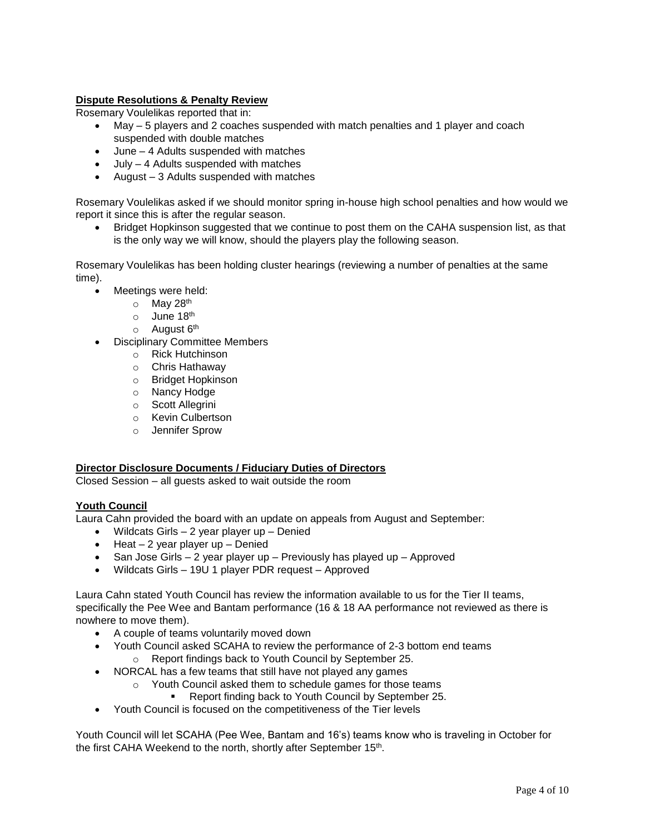## **Dispute Resolutions & Penalty Review**

Rosemary Voulelikas reported that in:

- May 5 players and 2 coaches suspended with match penalties and 1 player and coach suspended with double matches
- June 4 Adults suspended with matches
- July 4 Adults suspended with matches
- August 3 Adults suspended with matches

Rosemary Voulelikas asked if we should monitor spring in-house high school penalties and how would we report it since this is after the regular season.

 Bridget Hopkinson suggested that we continue to post them on the CAHA suspension list, as that is the only way we will know, should the players play the following season.

Rosemary Voulelikas has been holding cluster hearings (reviewing a number of penalties at the same time).

- Meetings were held:
	- o May 28th
	- $\circ$  June 18<sup>th</sup>
	- $\circ$  August  $6<sup>th</sup>$
- Disciplinary Committee Members
	- o Rick Hutchinson
	- o Chris Hathaway
	- o Bridget Hopkinson
	- o Nancy Hodge
	- o Scott Allegrini
	- o Kevin Culbertson
	- o Jennifer Sprow

### **Director Disclosure Documents / Fiduciary Duties of Directors**

Closed Session – all guests asked to wait outside the room

### **Youth Council**

Laura Cahn provided the board with an update on appeals from August and September:

- Wildcats Girls 2 year player up Denied
- $\bullet$  Heat 2 year player up Denied
- $\bullet$  San Jose Girls 2 year player up Previously has played up Approved
- Wildcats Girls 19U 1 player PDR request Approved

Laura Cahn stated Youth Council has review the information available to us for the Tier II teams, specifically the Pee Wee and Bantam performance (16 & 18 AA performance not reviewed as there is nowhere to move them).

- A couple of teams voluntarily moved down
- Youth Council asked SCAHA to review the performance of 2-3 bottom end teams o Report findings back to Youth Council by September 25.
- NORCAL has a few teams that still have not played any games
	- o Youth Council asked them to schedule games for those teams
		- Report finding back to Youth Council by September 25.
- Youth Council is focused on the competitiveness of the Tier levels

Youth Council will let SCAHA (Pee Wee, Bantam and 16's) teams know who is traveling in October for the first CAHA Weekend to the north, shortly after September 15<sup>th</sup>.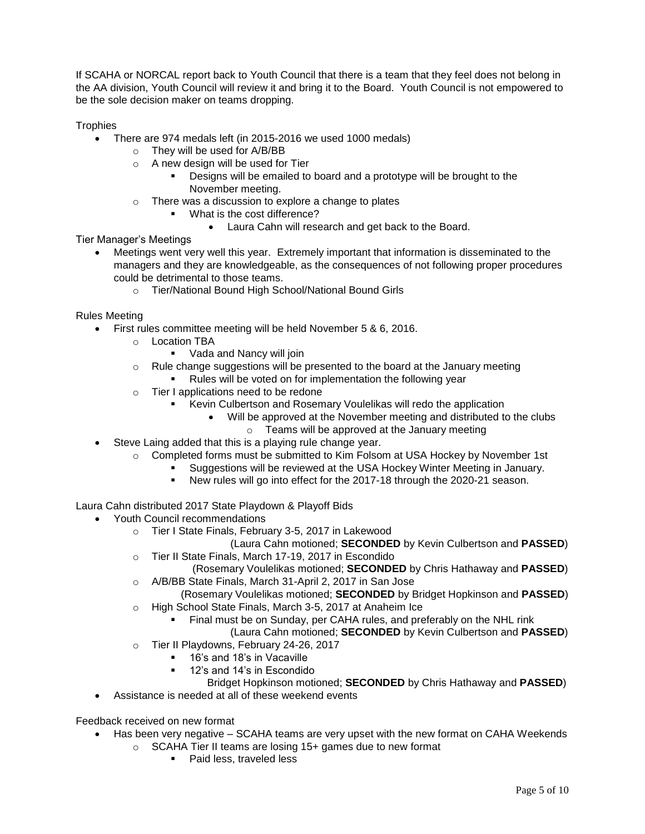If SCAHA or NORCAL report back to Youth Council that there is a team that they feel does not belong in the AA division, Youth Council will review it and bring it to the Board. Youth Council is not empowered to be the sole decision maker on teams dropping.

**Trophies** 

- There are 974 medals left (in 2015-2016 we used 1000 medals)
	- o They will be used for A/B/BB
		- o A new design will be used for Tier
			- Designs will be emailed to board and a prototype will be brought to the November meeting.
		- o There was a discussion to explore a change to plates
			- What is the cost difference?
				- Laura Cahn will research and get back to the Board.

Tier Manager's Meetings

- Meetings went very well this year. Extremely important that information is disseminated to the managers and they are knowledgeable, as the consequences of not following proper procedures could be detrimental to those teams.
	- o Tier/National Bound High School/National Bound Girls

Rules Meeting

- First rules committee meeting will be held November 5 & 6, 2016.
	- o Location TBA
		- Vada and Nancy will join
	- o Rule change suggestions will be presented to the board at the January meeting Rules will be voted on for implementation the following year
	- o Tier I applications need to be redone
		- Kevin Culbertson and Rosemary Voulelikas will redo the application
			- Will be approved at the November meeting and distributed to the clubs
				- o Teams will be approved at the January meeting
- Steve Laing added that this is a playing rule change year.
	- o Completed forms must be submitted to Kim Folsom at USA Hockey by November 1st
		- Suggestions will be reviewed at the USA Hockey Winter Meeting in January.
		- New rules will go into effect for the 2017-18 through the 2020-21 season.

Laura Cahn distributed 2017 State Playdown & Playoff Bids

- Youth Council recommendations
	- o Tier I State Finals, February 3-5, 2017 in Lakewood
	- (Laura Cahn motioned; **SECONDED** by Kevin Culbertson and **PASSED**) o Tier II State Finals, March 17-19, 2017 in Escondido
	- (Rosemary Voulelikas motioned; **SECONDED** by Chris Hathaway and **PASSED**) o A/B/BB State Finals, March 31-April 2, 2017 in San Jose
	- (Rosemary Voulelikas motioned; **SECONDED** by Bridget Hopkinson and **PASSED**) o High School State Finals, March 3-5, 2017 at Anaheim Ice
		- - **Final must be on Sunday, per CAHA rules, and preferably on the NHL rink** 
				- (Laura Cahn motioned; **SECONDED** by Kevin Culbertson and **PASSED**)
	- o Tier II Playdowns, February 24-26, 2017
		- **16's and 18's in Vacaville**
		- **12's and 14's in Escondido**

Bridget Hopkinson motioned; **SECONDED** by Chris Hathaway and **PASSED**)

Assistance is needed at all of these weekend events

Feedback received on new format

- Has been very negative SCAHA teams are very upset with the new format on CAHA Weekends
	- o SCAHA Tier II teams are losing 15+ games due to new format
		- Paid less, traveled less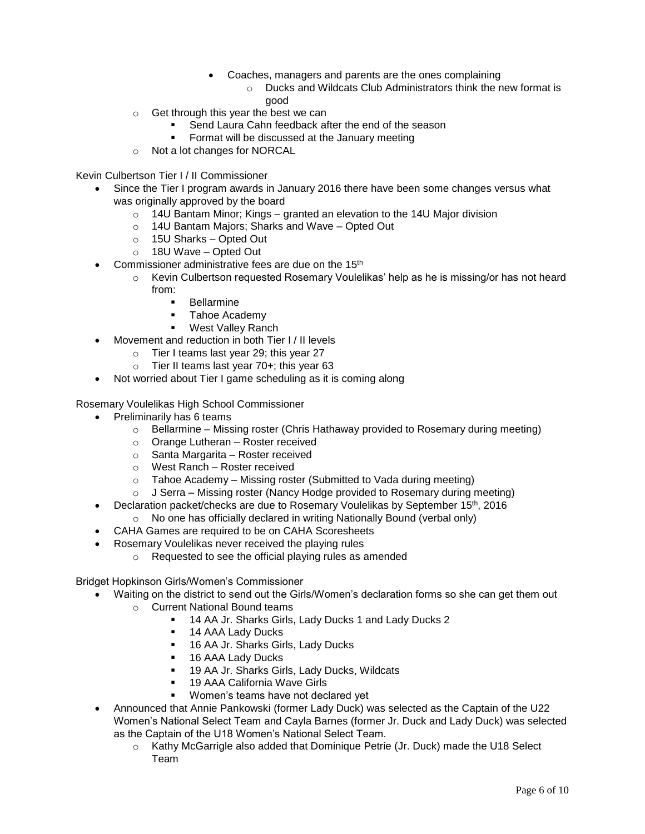- Coaches, managers and parents are the ones complaining
	- o Ducks and Wildcats Club Administrators think the new format is good
- o Get through this year the best we can
	- Send Laura Cahn feedback after the end of the season
	- Format will be discussed at the January meeting
- o Not a lot changes for NORCAL

Kevin Culbertson Tier I / II Commissioner

- Since the Tier I program awards in January 2016 there have been some changes versus what was originally approved by the board
	- $\circ$  14U Bantam Minor; Kings granted an elevation to the 14U Major division
	- o 14U Bantam Majors; Sharks and Wave Opted Out
	- o 15U Sharks Opted Out
	- o 18U Wave Opted Out
- Commissioner administrative fees are due on the 15<sup>th</sup>
	- $\circ$  Kevin Culbertson requested Rosemary Voulelikas' help as he is missing/or has not heard from:
		- **Bellarmine**
		- Tahoe Academy
		- West Valley Ranch
- Movement and reduction in both Tier I / II levels
	- o Tier I teams last year 29; this year 27
	- $\circ$  Tier II teams last year 70+; this year 63
- Not worried about Tier I game scheduling as it is coming along

Rosemary Voulelikas High School Commissioner

- Preliminarily has 6 teams
	- $\circ$  Bellarmine Missing roster (Chris Hathaway provided to Rosemary during meeting)
	- o Orange Lutheran Roster received
	- o Santa Margarita Roster received
	- o West Ranch Roster received
	- $\circ$  Tahoe Academy Missing roster (Submitted to Vada during meeting)
	- $\circ$  J Serra Missing roster (Nancy Hodge provided to Rosemary during meeting)
- Declaration packet/checks are due to Rosemary Voulelikas by September 15<sup>th</sup>, 2016
	- o No one has officially declared in writing Nationally Bound (verbal only)
- CAHA Games are required to be on CAHA Scoresheets
- Rosemary Voulelikas never received the playing rules
	- o Requested to see the official playing rules as amended

Bridget Hopkinson Girls/Women's Commissioner

- Waiting on the district to send out the Girls/Women's declaration forms so she can get them out
	- o Current National Bound teams
		- 14 AA Jr. Sharks Girls, Lady Ducks 1 and Lady Ducks 2
		- 14 AAA Lady Ducks
		- <sup>1</sup> 16 AA Jr. Sharks Girls, Lady Ducks
		- **16 AAA Lady Ducks**
		- 19 AA Jr. Sharks Girls, Lady Ducks, Wildcats
		- 19 AAA California Wave Girls
		- Women's teams have not declared yet
- Announced that Annie Pankowski (former Lady Duck) was selected as the Captain of the U22 Women's National Select Team and Cayla Barnes (former Jr. Duck and Lady Duck) was selected as the Captain of the U18 Women's National Select Team.
	- o Kathy McGarrigle also added that Dominique Petrie (Jr. Duck) made the U18 Select Team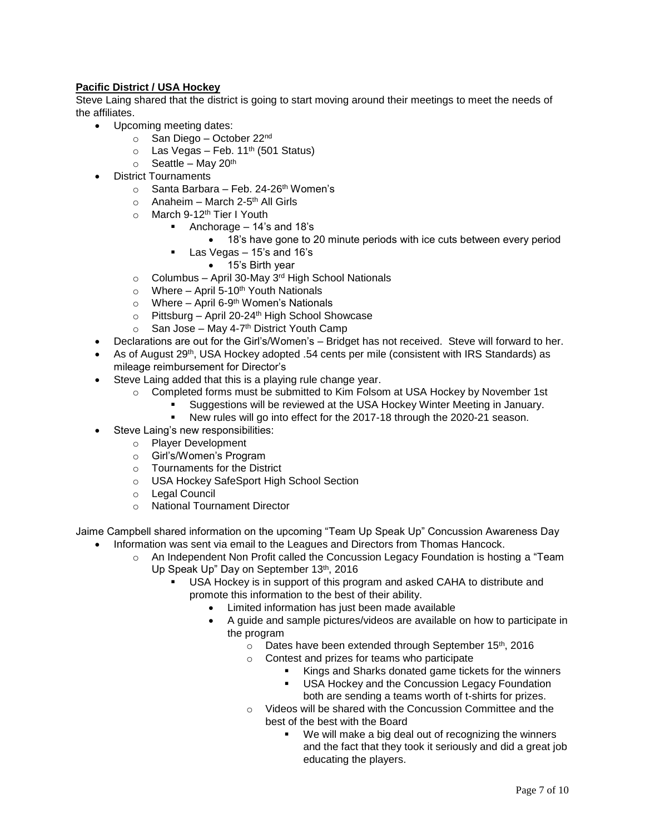# **Pacific District / USA Hockey**

Steve Laing shared that the district is going to start moving around their meetings to meet the needs of the affiliates.

- Upcoming meeting dates:
	- o San Diego October 22<sup>nd</sup>
	- $\circ$  Las Vegas Feb. 11<sup>th</sup> (501 Status)
	- $\circ$  Seattle May 20<sup>th</sup>
- District Tournaments
	- $\circ$  Santa Barbara Feb. 24-26<sup>th</sup> Women's
	- o Anaheim March 2-5<sup>th</sup> All Girls
	- o March 9-12<sup>th</sup> Tier I Youth
		- Anchorage  $-14$ 's and 18's
			- 18's have gone to 20 minute periods with ice cuts between every period
			- Las Vegas 15's and 16's
				- 15's Birth year
	- $\circ$  Columbus April 30-May 3<sup>rd</sup> High School Nationals
	- $\circ$  Where April 5-10<sup>th</sup> Youth Nationals
	- Where April 6-9<sup>th</sup> Women's Nationals
	- $\circ$  Pittsburg April 20-24<sup>th</sup> High School Showcase
	- San Jose May 4-7<sup>th</sup> District Youth Camp
- Declarations are out for the Girl's/Women's Bridget has not received. Steve will forward to her.
- As of August  $29^{th}$ , USA Hockey adopted .54 cents per mile (consistent with IRS Standards) as mileage reimbursement for Director's
- Steve Laing added that this is a playing rule change year.
	- $\circ$  Completed forms must be submitted to Kim Folsom at USA Hockey by November 1st
		- Suggestions will be reviewed at the USA Hockey Winter Meeting in January.
			- New rules will go into effect for the 2017-18 through the 2020-21 season.
- Steve Laing's new responsibilities:
	- o Player Development
	- o Girl's/Women's Program
	- o Tournaments for the District
	- o USA Hockey SafeSport High School Section
	- o Legal Council
	- o National Tournament Director

Jaime Campbell shared information on the upcoming "Team Up Speak Up" Concussion Awareness Day

- Information was sent via email to the Leagues and Directors from Thomas Hancock.
	- o An Independent Non Profit called the Concussion Legacy Foundation is hosting a "Team Up Speak Up" Day on September 13th, 2016
		- USA Hockey is in support of this program and asked CAHA to distribute and promote this information to the best of their ability.
			- Limited information has just been made available
			- A guide and sample pictures/videos are available on how to participate in the program
				- o Dates have been extended through September 15th, 2016
				- o Contest and prizes for teams who participate
					- Kings and Sharks donated game tickets for the winners
					- USA Hockey and the Concussion Legacy Foundation both are sending a teams worth of t-shirts for prizes.
				- o Videos will be shared with the Concussion Committee and the best of the best with the Board
					- We will make a big deal out of recognizing the winners and the fact that they took it seriously and did a great job educating the players.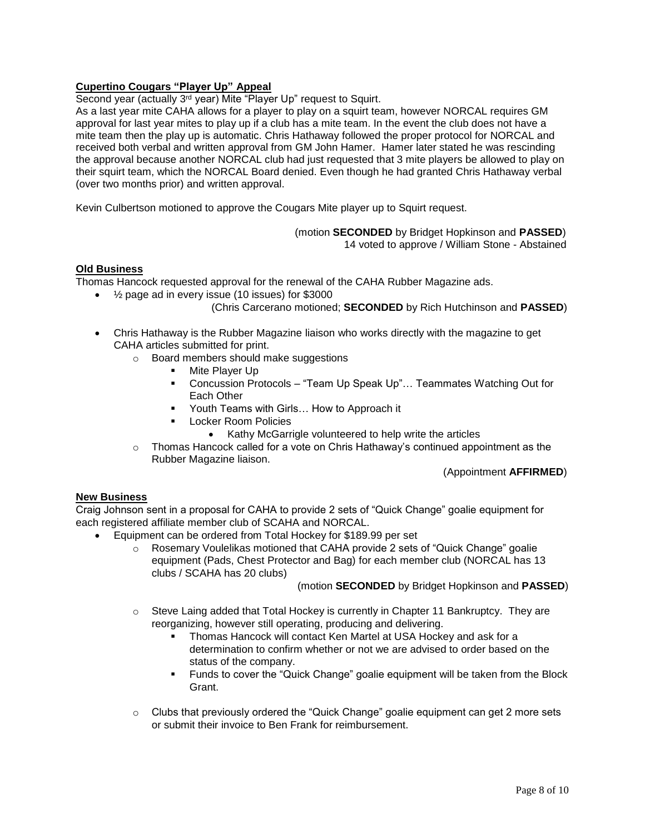# **Cupertino Cougars "Player Up" Appeal**

Second year (actually 3<sup>rd</sup> year) Mite "Player Up" request to Squirt.

As a last year mite CAHA allows for a player to play on a squirt team, however NORCAL requires GM approval for last year mites to play up if a club has a mite team. In the event the club does not have a mite team then the play up is automatic. Chris Hathaway followed the proper protocol for NORCAL and received both verbal and written approval from GM John Hamer. Hamer later stated he was rescinding the approval because another NORCAL club had just requested that 3 mite players be allowed to play on their squirt team, which the NORCAL Board denied. Even though he had granted Chris Hathaway verbal (over two months prior) and written approval.

Kevin Culbertson motioned to approve the Cougars Mite player up to Squirt request.

 (motion **SECONDED** by Bridget Hopkinson and **PASSED**) 14 voted to approve / William Stone - Abstained

### **Old Business**

Thomas Hancock requested approval for the renewal of the CAHA Rubber Magazine ads.

- ½ page ad in every issue (10 issues) for \$3000
	- (Chris Carcerano motioned; **SECONDED** by Rich Hutchinson and **PASSED**)
- Chris Hathaway is the Rubber Magazine liaison who works directly with the magazine to get CAHA articles submitted for print.
	- o Board members should make suggestions
		- **Mite Player Up**
		- Concussion Protocols "Team Up Speak Up"... Teammates Watching Out for Each Other
		- Youth Teams with Girls... How to Approach it
		- Locker Room Policies
			- Kathy McGarrigle volunteered to help write the articles
	- $\circ$  Thomas Hancock called for a vote on Chris Hathaway's continued appointment as the Rubber Magazine liaison.

(Appointment **AFFIRMED**)

### **New Business**

Craig Johnson sent in a proposal for CAHA to provide 2 sets of "Quick Change" goalie equipment for each registered affiliate member club of SCAHA and NORCAL.

- Equipment can be ordered from Total Hockey for \$189.99 per set
	- o Rosemary Voulelikas motioned that CAHA provide 2 sets of "Quick Change" goalie equipment (Pads, Chest Protector and Bag) for each member club (NORCAL has 13 clubs / SCAHA has 20 clubs)

(motion **SECONDED** by Bridget Hopkinson and **PASSED**)

- $\circ$  Steve Laing added that Total Hockey is currently in Chapter 11 Bankruptcy. They are reorganizing, however still operating, producing and delivering.
	- Thomas Hancock will contact Ken Martel at USA Hockey and ask for a determination to confirm whether or not we are advised to order based on the status of the company.
	- Funds to cover the "Quick Change" goalie equipment will be taken from the Block Grant.
- $\circ$  Clubs that previously ordered the "Quick Change" goalie equipment can get 2 more sets or submit their invoice to Ben Frank for reimbursement.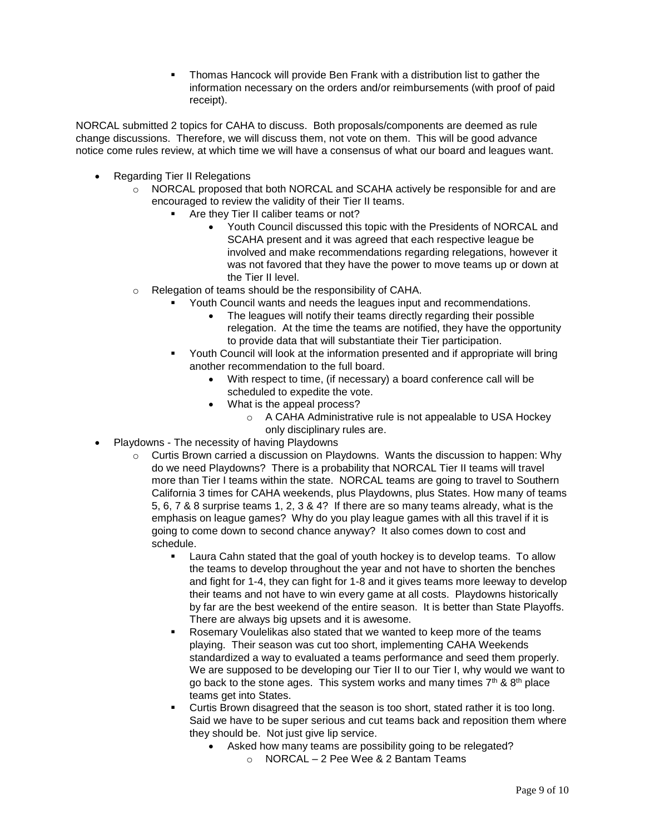Thomas Hancock will provide Ben Frank with a distribution list to gather the information necessary on the orders and/or reimbursements (with proof of paid receipt).

NORCAL submitted 2 topics for CAHA to discuss. Both proposals/components are deemed as rule change discussions. Therefore, we will discuss them, not vote on them. This will be good advance notice come rules review, at which time we will have a consensus of what our board and leagues want.

- Regarding Tier II Relegations
	- o NORCAL proposed that both NORCAL and SCAHA actively be responsible for and are encouraged to review the validity of their Tier II teams.
		- Are they Tier II caliber teams or not?
			- Youth Council discussed this topic with the Presidents of NORCAL and SCAHA present and it was agreed that each respective league be involved and make recommendations regarding relegations, however it was not favored that they have the power to move teams up or down at the Tier II level.
	- o Relegation of teams should be the responsibility of CAHA.
		- Youth Council wants and needs the leagues input and recommendations.
			- The leagues will notify their teams directly regarding their possible relegation. At the time the teams are notified, they have the opportunity to provide data that will substantiate their Tier participation.
		- Youth Council will look at the information presented and if appropriate will bring another recommendation to the full board.
			- With respect to time, (if necessary) a board conference call will be scheduled to expedite the vote.
			- What is the appeal process?
				- o A CAHA Administrative rule is not appealable to USA Hockey only disciplinary rules are.
- Playdowns The necessity of having Playdowns
	- $\circ$  Curtis Brown carried a discussion on Playdowns. Wants the discussion to happen: Why do we need Playdowns? There is a probability that NORCAL Tier II teams will travel more than Tier I teams within the state. NORCAL teams are going to travel to Southern California 3 times for CAHA weekends, plus Playdowns, plus States. How many of teams 5, 6, 7 & 8 surprise teams 1, 2, 3 & 4? If there are so many teams already, what is the emphasis on league games? Why do you play league games with all this travel if it is going to come down to second chance anyway? It also comes down to cost and schedule.
		- Laura Cahn stated that the goal of youth hockey is to develop teams. To allow the teams to develop throughout the year and not have to shorten the benches and fight for 1-4, they can fight for 1-8 and it gives teams more leeway to develop their teams and not have to win every game at all costs. Playdowns historically by far are the best weekend of the entire season. It is better than State Playoffs. There are always big upsets and it is awesome.
		- Rosemary Voulelikas also stated that we wanted to keep more of the teams playing. Their season was cut too short, implementing CAHA Weekends standardized a way to evaluated a teams performance and seed them properly. We are supposed to be developing our Tier II to our Tier I, why would we want to go back to the stone ages. This system works and many times  $7<sup>th</sup>$  &  $8<sup>th</sup>$  place teams get into States.
		- Curtis Brown disagreed that the season is too short, stated rather it is too long. Said we have to be super serious and cut teams back and reposition them where they should be. Not just give lip service.
			- Asked how many teams are possibility going to be relegated?
				- o NORCAL 2 Pee Wee & 2 Bantam Teams